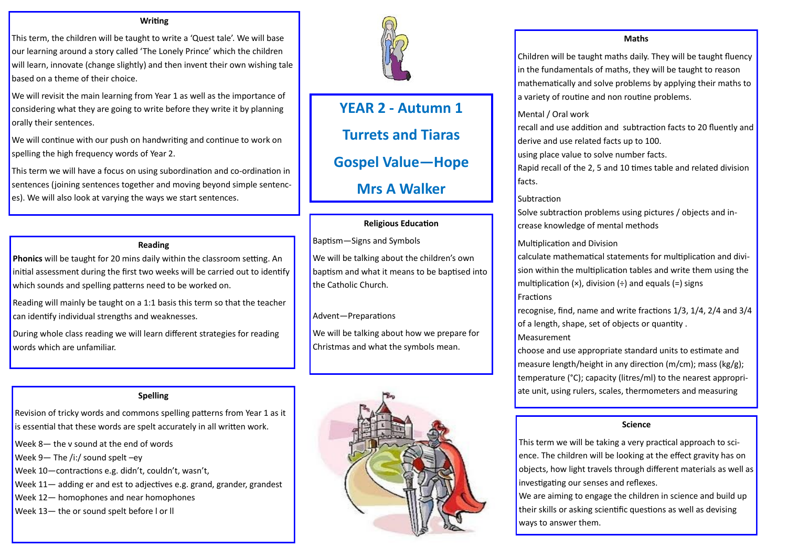# **YEAR 2 - Autumn 1 Turrets and Tiaras Gospel Value—Hope Mrs A Walker**

#### **Writing**

This term, the children will be taught to write a 'Quest tale'. We will base our learning around a story called 'The Lonely Prince' which the children will learn, innovate (change slightly) and then invent their own wishing tale based on a theme of their choice.

We will revisit the main learning from Year 1 as well as the importance of considering what they are going to write before they write it by planning orally their sentences.

We will continue with our push on handwriting and continue to work on spelling the high frequency words of Year 2.

This term we will have a focus on using subordination and co-ordination in sentences (joining sentences together and moving beyond simple sentences). We will also look at varying the ways we start sentences.

#### **Reading**

**Phonics** will be taught for 20 mins daily within the classroom setting. An initial assessment during the first two weeks will be carried out to identify which sounds and spelling patterns need to be worked on.

Reading will mainly be taught on a 1:1 basis this term so that the teacher can identify individual strengths and weaknesses.

During whole class reading we will learn different strategies for reading words which are unfamiliar.

# **Spelling**

calculate mathematical statements for multiplication and division within the multiplication tables and write them using the multiplication  $(x)$ , division  $(+)$  and equals  $(=)$  signs

Revision of tricky words and commons spelling patterns from Year 1 as it is essential that these words are spelt accurately in all written work.

- Week 8— the v sound at the end of words
- Week 9— The /i:/ sound spelt –ey
- Week 10—contractions e.g. didn't, couldn't, wasn't,
- Week 11— adding er and est to adjectives e.g. grand, grander, grandest
- Week 12— homophones and near homophones
- Week 13— the or sound spelt before l or ll



# **Religious Education**

Baptism—Signs and Symbols

We will be talking about the children's own baptism and what it means to be baptised into the Catholic Church.

# Advent—Preparations

We will be talking about how we prepare for Christmas and what the symbols mean.



# **Maths**

Children will be taught maths daily. They will be taught fluency in the fundamentals of maths, they will be taught to reason mathematically and solve problems by applying their maths to a variety of routine and non routine problems.

recall and use addition and subtraction facts to 20 fluently and

Mental / Oral work derive and use related facts up to 100. using place value to solve number facts. facts.

# **Subtraction**

Rapid recall of the 2, 5 and 10 times table and related division

Solve subtraction problems using pictures / objects and increase knowledge of mental methods

Multiplication and Division Fractions

**Measurement** 

recognise, find, name and write fractions 1/3, 1/4, 2/4 and 3/4 of a length, shape, set of objects or quantity .

choose and use appropriate standard units to estimate and measure length/height in any direction (m/cm); mass (kg/g); temperature (°C); capacity (litres/ml) to the nearest appropriate unit, using rulers, scales, thermometers and measuring

# **Science**

This term we will be taking a very practical approach to science. The children will be looking at the effect gravity has on objects, how light travels through different materials as well as investigating our senses and reflexes. We are aiming to engage the children in science and build up their skills or asking scientific questions as well as devising ways to answer them.